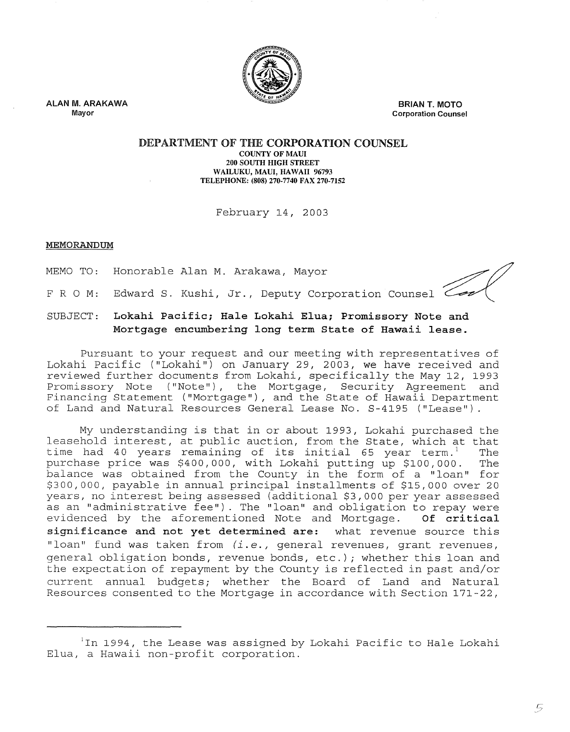

**ALAN M. ARAKAWA Mayor** 

**BRIAN T. MOTO Corporation Counsel** 

#### **DEPARTMENT OF THE CORPORATION COUNSEL COUNTY OF MAUl 200 SOUTH HIGH STREET WAILUKU, MAUl, HAWAII 96793 TELEPHONE: (808) 270-7740 FAX 270-7152**

February 14, 2003

## **MEMORANDUM**

MEMO TO: Honorable Alan M. Arakawa, Mayor

 $\mathcal{L}_{\text{end}}$  and

FROM: S. Kushi, Jr., Deputy Corporation Counsel

# SUBJECT: **Lokahi Pacific; Hale Lokahi Elua; Promissory Note Mortgage encumbering long term State of Hawaii lease.**

Pursuant to your request and our meeting with representatives of Lokahi Pacific ("Lokahi") on January 29, 2003, we have received and reviewed further documents from Lokahi, specifically the May 12, 1993 Promissory Note ("Note"), the Mortgage, Security Agreement and Financing Statement ("Mortgage"), and the State of Hawaii Department of Land and Natural Resources General Lease No. S-4195 ("Lease")

My understanding is that in or about 1993, Lokahi purchased the leasehold interest, at public auction, from the State, which at that<br>time had 40 vears remaining of its initial 65 vear term.<sup>1</sup> The time had 40 years remaining of its initial 65 year term.<sup>1</sup> The<br>purchase price was \$400,000, with Lokahi putting up \$100,000. The purchase price was \$400,000, with Lokahi putting up \$100,000. balance was obtained from the County in the form of a "loan" for \$300,000, payable in annual principal installments of \$15,000 over 20 years, no interest being assessed (additional \$3,000 per year assessed as an "administrative fee"). The "loan" and obligation to repay were evidenced by the aforementioned Note and **Mortgage. Of critical significance and not yet determined are:** what revenue source this "loan" fund was taken from *(i.e.,* general revenues, grant revenues, general obligation bonds, revenue bonds, etc.); whether this loan and the expectation of repayment by the County is reflected in past and/or current annual budgets; whether the Board of Land and Natural Resources consented to the Mortgage in accordance with Section 171-22,

 $\rm ^1$ In 1994, the Lease was assigned by Lokahi Pacific to Hale Lokahi Elua, a Hawaii non-profit corporation.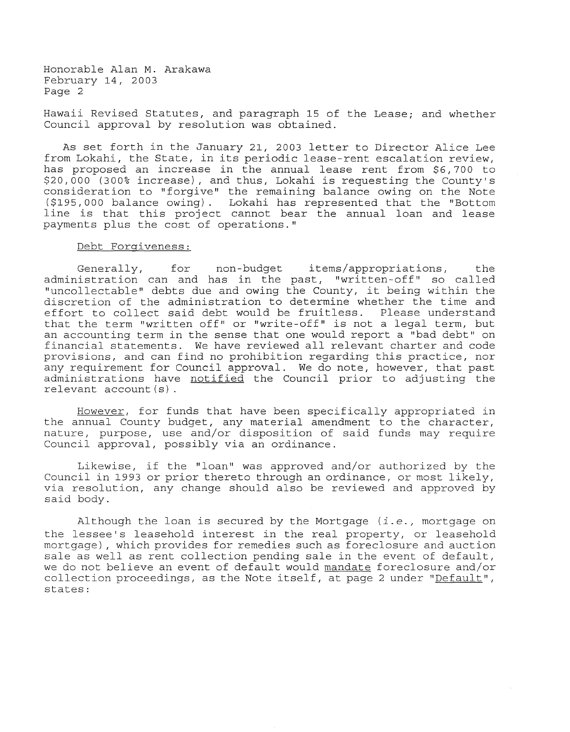Honorable Alan **M.** Arakawa February 14, 2003 Page 2

Hawaii Revised Statutes, and paragraph 15 of the Lease; and whether Council approval by resolution was obtained.

As set forth in the January 21, 2003 letter to Director Alice Lee from Lokahi, the State, in its periodic lease-rent escalation review, has proposed an increase in the annual lease rent from \$6,700 to \$20,000 (300% increase), and thus, Lokahi is requesting the County's consideration to "forgive" the remaining balance owing on the Note (\$195,000 balance owing). Lokahi has represented that the "Bottom line is that this project cannot bear the annual loan and lease payments plus the cost of operations."

### Debt Forgiveness:

Generally, for non-budget items/appropriations, the administration can and has in the past, "written-off" so called "uncollectable" debts due and owing the County, it being within the discretion of the administration to determine whether the time and effort to collect said debt would be fruitless. Please understand that the term "written off" or "write-off" is not a legal term, but an accounting term in the sense that one would report a "bad debt" on financial statements. We have reviewed all relevant charter and code provisions, and can find no prohibition regarding this practice, nor any requirement for Council approval. We do note, however, that past administrations have notified the Council prior to adjusting the relevant account(s).

However, for funds that have been specifically appropriated in the annual County budget, any material amendment to the character, nature, purpose, use and/or disposition of said funds may require Council approval, possibly via an ordinance.

Likewise, if the "loan" was approved and/or authorized by the Council in 1993 or prior thereto through an ordinance, or most likely, via resolution, any change should also be reviewed and approved by said body.

Although the loan is secured by the Mortgage *(i.e.,* mortgage on the lessee's leasehold interest in the real property, or leasehold mortgage) , which provides for remedies such as foreclosure and auction sale as well as rent collection pending sale in the event of default, we do not believe an event of default would mandate foreclosure and/or collection proceedings, as the Note itself, at page 2 under "Default", states: